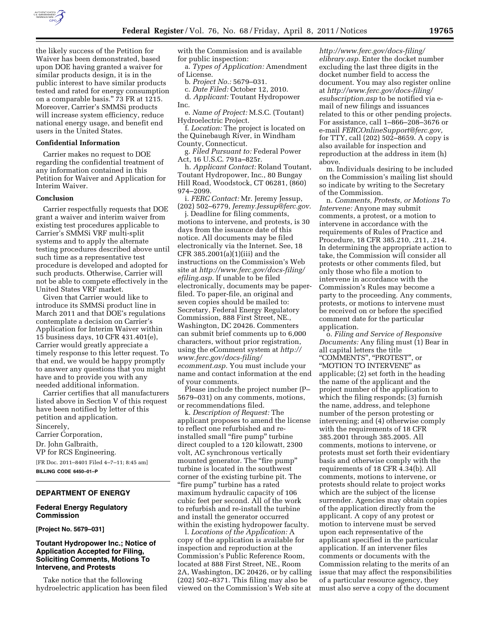

the likely success of the Petition for Waiver has been demonstrated, based upon DOE having granted a waiver for similar products design, it is in the public interest to have similar products tested and rated for energy consumption on a comparable basis.'' 73 FR at 1215. Moreover, Carrier's SMMSi products will increase system efficiency, reduce national energy usage, and benefit end users in the United States.

#### **Confidential Information**

Carrier makes no request to DOE regarding the confidential treatment of any information contained in this Petition for Waiver and Application for Interim Waiver.

#### **Conclusion**

Carrier respectfully requests that DOE grant a waiver and interim waiver from existing test procedures applicable to Carrier's SMMSi VRF multi-split systems and to apply the alternate testing procedures described above until such time as a representative test procedure is developed and adopted for such products. Otherwise, Carrier will not be able to compete effectively in the United States VRF market.

Given that Carrier would like to introduce its SMMSi product line in March 2011 and that DOE's regulations contemplate a decision on Carrier's Application for Interim Waiver within 15 business days, 10 CFR 431.401(e), Carrier would greatly appreciate a timely response to this letter request. To that end, we would be happy promptly to answer any questions that you might have and to provide you with any needed additional information.

Carrier certifies that all manufacturers listed above in Section V of this request have been notified by letter of this petition and application.

Sincerely, Carrier Corporation, Dr. John Galbraith, VP for RCS Engineering. [FR Doc. 2011–8401 Filed 4–7–11; 8:45 am] **BILLING CODE 6450–01–P** 

# **DEPARTMENT OF ENERGY**

#### **Federal Energy Regulatory Commission**

#### **[Project No. 5679–031]**

### **Toutant Hydropower Inc.; Notice of Application Accepted for Filing, Soliciting Comments, Motions To Intervene, and Protests**

Take notice that the following hydroelectric application has been filed with the Commission and is available for public inspection:

a. *Types of Application:* Amendment of License.

b. *Project No.:* 5679–031.

c. *Date Filed:* October 12, 2010.

d. *Applicant:* Toutant Hydropower Inc.

e. *Name of Project:* M.S.C. (Toutant) Hydroelectric Project.

f. *Location:* The project is located on the Quinebaugh River, in Windham County, Connecticut.

g. *Filed Pursuant to:* Federal Power Act, 16 U.S.C. 791a–825r.

h. *Applicant Contact:* Roland Toutant, Toutant Hydropower, Inc., 80 Bungay Hill Road, Woodstock, CT 06281, (860) 974–2099.

i. *FERC Contact:* Mr. Jeremy Jessup, (202) 502–6779, *[Jeremy.Jessup@ferc.gov](mailto:Jeremy.Jessup@ferc.gov)*.

j. Deadline for filing comments, motions to intervene, and protests, is 30 days from the issuance date of this notice. All documents may be filed electronically via the Internet. See, 18 CFR 385.2001(a)(1)(iii) and the instructions on the Commission's Web site at *[http://www.ferc.gov/docs-filing/](http://www.ferc.gov/docs-filing/efiling.asp) [efiling.asp.](http://www.ferc.gov/docs-filing/efiling.asp)* If unable to be filed electronically, documents may be paperfiled. To paper-file, an original and seven copies should be mailed to: Secretary, Federal Energy Regulatory Commission, 888 First Street, NE., Washington, DC 20426. Commenters can submit brief comments up to 6,000 characters, without prior registration, using the eComment system at *[http://](http://www.ferc.gov/docs-filing/ecomment.asp) [www.ferc.gov/docs-filing/](http://www.ferc.gov/docs-filing/ecomment.asp) [ecomment.asp.](http://www.ferc.gov/docs-filing/ecomment.asp)* You must include your name and contact information at the end of your comments.

Please include the project number (P– 5679–031) on any comments, motions, or recommendations filed.

k. *Description of Request:* The applicant proposes to amend the license to reflect one refurbished and reinstalled small "fire pump" turbine direct coupled to a 120 kilowatt, 2300 volt, AC synchronous vertically mounted generator. The "fire pump" turbine is located in the southwest corner of the existing turbine pit. The ''fire pump'' turbine has a rated maximum hydraulic capacity of 106 cubic feet per second. All of the work to refurbish and re-install the turbine and install the generator occurred within the existing hydropower faculty.

l. *Locations of the Application:* A copy of the application is available for inspection and reproduction at the Commission's Public Reference Room, located at 888 First Street, NE., Room 2A, Washington, DC 20426, or by calling (202) 502–8371. This filing may also be viewed on the Commission's Web site at

*[http://www.ferc.gov/docs-filing/](http://www.ferc.gov/docs-filing/elibrary.asp) [elibrary.asp.](http://www.ferc.gov/docs-filing/elibrary.asp)* Enter the docket number excluding the last three digits in the docket number field to access the document. You may also register online at *[http://www.ferc.gov/docs-filing/](http://www.ferc.gov/docs-filing/esubscription.asp) [esubscription.asp](http://www.ferc.gov/docs-filing/esubscription.asp)* to be notified via email of new filings and issuances related to this or other pending projects. For assistance, call 1–866–208–3676 or e-mail *[FERCOnlineSupport@ferc.gov,](mailto:FERCOnlineSupport@ferc.gov)*  for TTY, call (202) 502–8659. A copy is also available for inspection and reproduction at the address in item (h) above.

m. Individuals desiring to be included on the Commission's mailing list should so indicate by writing to the Secretary of the Commission.

n. *Comments, Protests, or Motions To Intervene:* Anyone may submit comments, a protest, or a motion to intervene in accordance with the requirements of Rules of Practice and Procedure, 18 CFR 385.210, .211, .214. In determining the appropriate action to take, the Commission will consider all protests or other comments filed, but only those who file a motion to intervene in accordance with the Commission's Rules may become a party to the proceeding. Any comments, protests, or motions to intervene must be received on or before the specified comment date for the particular application.

o. *Filing and Service of Responsive Documents:* Any filing must (1) Bear in all capital letters the title ''COMMENTS'', ''PROTEST'', or ''MOTION TO INTERVENE'' as applicable; (2) set forth in the heading the name of the applicant and the project number of the application to which the filing responds; (3) furnish the name, address, and telephone number of the person protesting or intervening; and (4) otherwise comply with the requirements of 18 CFR 385.2001 through 385.2005. All comments, motions to intervene, or protests must set forth their evidentiary basis and otherwise comply with the requirements of 18 CFR 4.34(b). All comments, motions to intervene, or protests should relate to project works which are the subject of the license surrender. Agencies may obtain copies of the application directly from the applicant. A copy of any protest or motion to intervene must be served upon each representative of the applicant specified in the particular application. If an intervener files comments or documents with the Commission relating to the merits of an issue that may affect the responsibilities of a particular resource agency, they must also serve a copy of the document